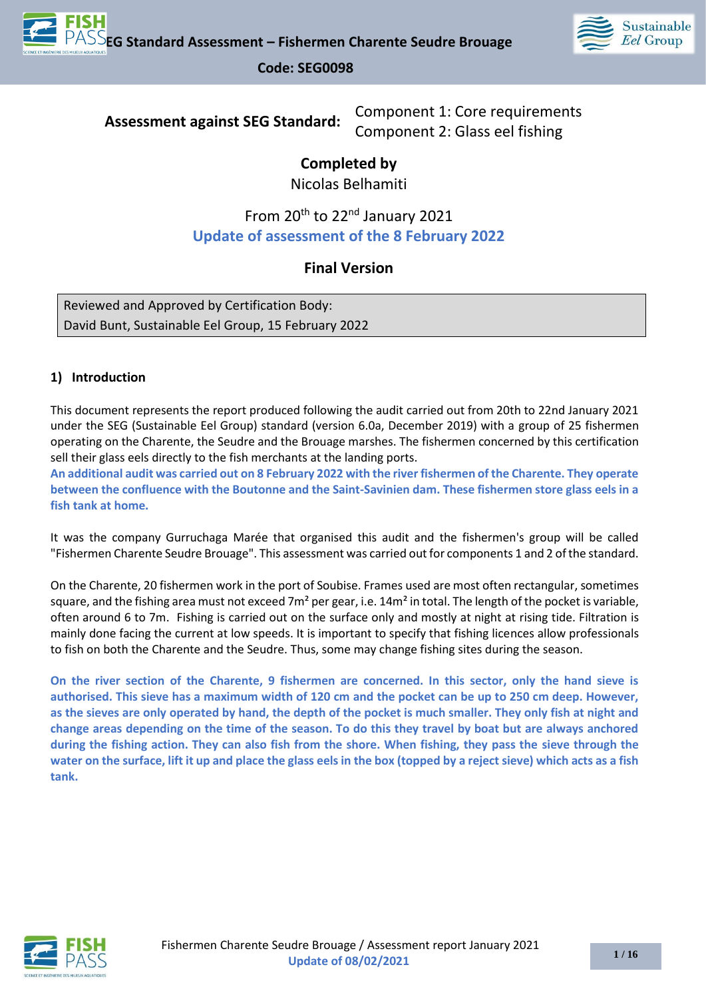

**Assessment against SEG Standard:** Component 1: Core requirements Component 2: Glass eel fishing

# **Completed by**

Nicolas Belhamiti

# From 20<sup>th</sup> to 22<sup>nd</sup> January 2021 **Update of assessment of the 8 February 2022**

# **Final Version**

Reviewed and Approved by Certification Body: David Bunt, Sustainable Eel Group, 15 February 2022

## **1) Introduction**

This document represents the report produced following the audit carried out from 20th to 22nd January 2021 under the SEG (Sustainable Eel Group) standard (version 6.0a, December 2019) with a group of 25 fishermen operating on the Charente, the Seudre and the Brouage marshes. The fishermen concerned by this certification sell their glass eels directly to the fish merchants at the landing ports.

**An additional audit was carried out on 8 February 2022 with the river fishermen of the Charente. They operate between the confluence with the Boutonne and the Saint-Savinien dam. These fishermen store glass eels in a fish tank at home.**

It was the company Gurruchaga Marée that organised this audit and the fishermen's group will be called "Fishermen Charente Seudre Brouage". This assessment was carried out for components 1 and 2 of the standard.

On the Charente, 20 fishermen work in the port of Soubise. Frames used are most often rectangular, sometimes square, and the fishing area must not exceed  $7m^2$  per gear, i.e.  $14m^2$  in total. The length of the pocket is variable, often around 6 to 7m. Fishing is carried out on the surface only and mostly at night at rising tide. Filtration is mainly done facing the current at low speeds. It is important to specify that fishing licences allow professionals to fish on both the Charente and the Seudre. Thus, some may change fishing sites during the season.

**On the river section of the Charente, 9 fishermen are concerned. In this sector, only the hand sieve is authorised. This sieve has a maximum width of 120 cm and the pocket can be up to 250 cm deep. However, as the sieves are only operated by hand, the depth of the pocket is much smaller. They only fish at night and change areas depending on the time of the season. To do this they travel by boat but are always anchored during the fishing action. They can also fish from the shore. When fishing, they pass the sieve through the water on the surface, lift it up and place the glass eels in the box (topped by a reject sieve) which acts as a fish tank.** 

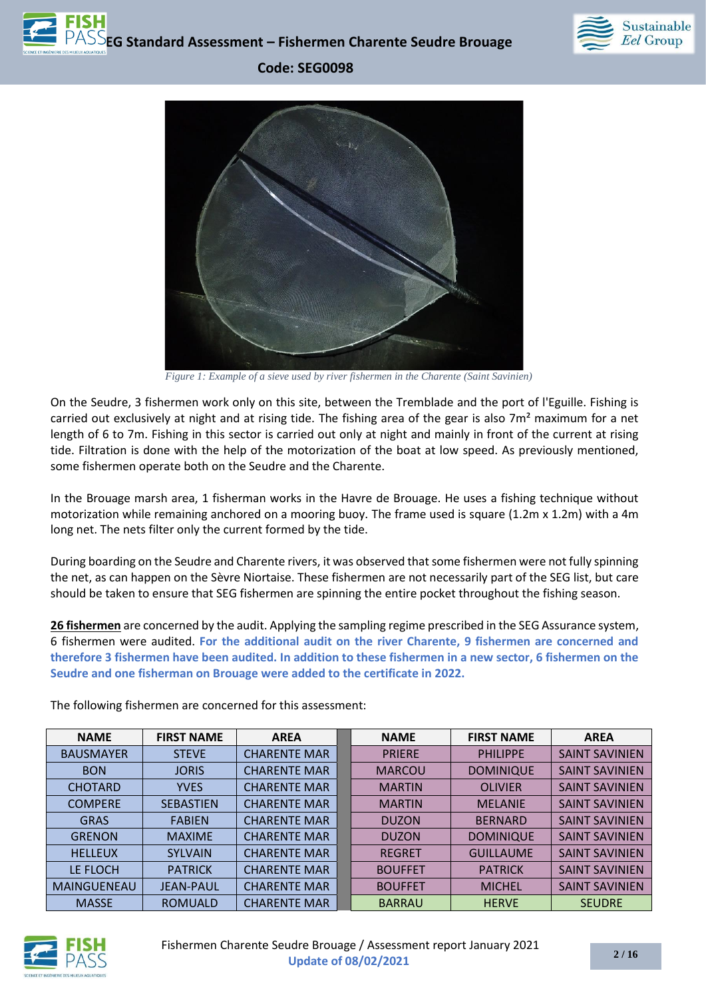



*Figure 1: Example of a sieve used by river fishermen in the Charente (Saint Savinien)*

On the Seudre, 3 fishermen work only on this site, between the Tremblade and the port of l'Eguille. Fishing is carried out exclusively at night and at rising tide. The fishing area of the gear is also  $7m<sup>2</sup>$  maximum for a net length of 6 to 7m. Fishing in this sector is carried out only at night and mainly in front of the current at rising tide. Filtration is done with the help of the motorization of the boat at low speed. As previously mentioned, some fishermen operate both on the Seudre and the Charente.

In the Brouage marsh area, 1 fisherman works in the Havre de Brouage. He uses a fishing technique without motorization while remaining anchored on a mooring buoy. The frame used is square (1.2m x 1.2m) with a 4m long net. The nets filter only the current formed by the tide.

During boarding on the Seudre and Charente rivers, it was observed that some fishermen were not fully spinning the net, as can happen on the Sèvre Niortaise. These fishermen are not necessarily part of the SEG list, but care should be taken to ensure that SEG fishermen are spinning the entire pocket throughout the fishing season.

**26 fishermen** are concerned by the audit. Applying the sampling regime prescribed in the SEG Assurance system, 6 fishermen were audited. **For the additional audit on the river Charente, 9 fishermen are concerned and therefore 3 fishermen have been audited. In addition to these fishermen in a new sector, 6 fishermen on the Seudre and one fisherman on Brouage were added to the certificate in 2022.**

| <b>NAME</b>        | <b>FIRST NAME</b> | <b>AREA</b>         | <b>NAME</b>    | <b>FIRST NAME</b> | <b>AREA</b>           |
|--------------------|-------------------|---------------------|----------------|-------------------|-----------------------|
| <b>BAUSMAYER</b>   | <b>STEVE</b>      | <b>CHARENTE MAR</b> | <b>PRIERE</b>  | <b>PHILIPPE</b>   | <b>SAINT SAVINIEN</b> |
| <b>BON</b>         | <b>JORIS</b>      | <b>CHARENTE MAR</b> | <b>MARCOU</b>  | <b>DOMINIQUE</b>  | <b>SAINT SAVINIEN</b> |
| <b>CHOTARD</b>     | <b>YVES</b>       | <b>CHARENTE MAR</b> | <b>MARTIN</b>  | <b>OLIVIER</b>    | <b>SAINT SAVINIEN</b> |
| <b>COMPERE</b>     | <b>SEBASTIEN</b>  | <b>CHARENTE MAR</b> | <b>MARTIN</b>  | <b>MELANIE</b>    | <b>SAINT SAVINIEN</b> |
| <b>GRAS</b>        | <b>FABIEN</b>     | <b>CHARENTE MAR</b> | <b>DUZON</b>   | <b>BERNARD</b>    | <b>SAINT SAVINIEN</b> |
| <b>GRENON</b>      | <b>MAXIME</b>     | <b>CHARENTE MAR</b> | <b>DUZON</b>   | <b>DOMINIQUE</b>  | <b>SAINT SAVINIEN</b> |
| <b>HELLEUX</b>     | <b>SYLVAIN</b>    | <b>CHARENTE MAR</b> | <b>REGRET</b>  | <b>GUILLAUME</b>  | <b>SAINT SAVINIEN</b> |
| LE FLOCH           | <b>PATRICK</b>    | <b>CHARENTE MAR</b> | <b>BOUFFET</b> | <b>PATRICK</b>    | <b>SAINT SAVINIEN</b> |
| <b>MAINGUENEAU</b> | <b>JEAN-PAUL</b>  | <b>CHARENTE MAR</b> | <b>BOUFFET</b> | <b>MICHEL</b>     | <b>SAINT SAVINIEN</b> |
| <b>MASSE</b>       | <b>ROMUALD</b>    | <b>CHARENTE MAR</b> | <b>BARRAU</b>  | <b>HERVE</b>      | <b>SEUDRE</b>         |

The following fishermen are concerned for this assessment:

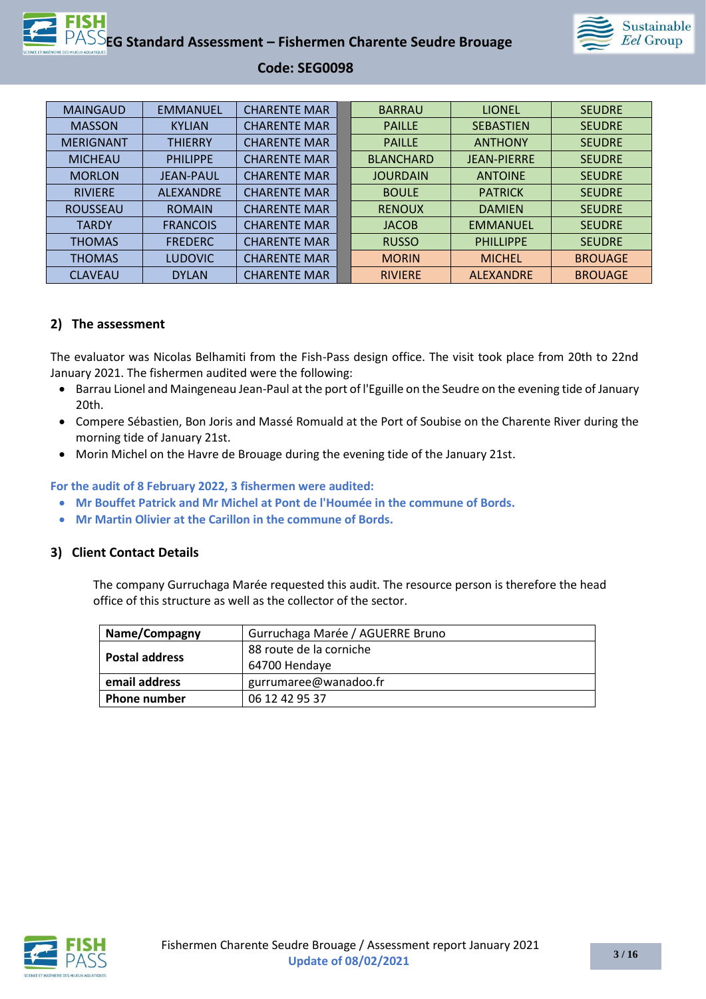

| <b>MAINGAUD</b>  | <b>EMMANUEL</b>  | <b>CHARENTE MAR</b> | <b>BARRAU</b>    | <b>LIONEL</b>      | <b>SEUDRE</b>  |
|------------------|------------------|---------------------|------------------|--------------------|----------------|
| <b>MASSON</b>    | <b>KYLIAN</b>    | <b>CHARENTE MAR</b> | <b>PAILLE</b>    | <b>SEBASTIEN</b>   | <b>SEUDRE</b>  |
| <b>MERIGNANT</b> | <b>THIERRY</b>   | <b>CHARENTE MAR</b> | <b>PAILLE</b>    | <b>ANTHONY</b>     | <b>SEUDRE</b>  |
| <b>MICHEAU</b>   | <b>PHILIPPE</b>  | <b>CHARENTE MAR</b> | <b>BLANCHARD</b> | <b>JEAN-PIERRE</b> | <b>SEUDRE</b>  |
| <b>MORLON</b>    | <b>JEAN-PAUL</b> | <b>CHARENTE MAR</b> | <b>JOURDAIN</b>  | <b>ANTOINE</b>     | <b>SEUDRE</b>  |
| <b>RIVIERE</b>   | <b>ALEXANDRE</b> | <b>CHARENTE MAR</b> | <b>BOULE</b>     | <b>PATRICK</b>     | <b>SEUDRE</b>  |
| <b>ROUSSEAU</b>  | <b>ROMAIN</b>    | <b>CHARENTE MAR</b> | <b>RENOUX</b>    | <b>DAMIEN</b>      | <b>SEUDRE</b>  |
| <b>TARDY</b>     | <b>FRANCOIS</b>  | <b>CHARENTE MAR</b> | <b>JACOB</b>     | <b>EMMANUEL</b>    | <b>SEUDRE</b>  |
| <b>THOMAS</b>    | <b>FREDERC</b>   | <b>CHARENTE MAR</b> | <b>RUSSO</b>     | <b>PHILLIPPE</b>   | <b>SEUDRE</b>  |
| <b>THOMAS</b>    | <b>LUDOVIC</b>   | <b>CHARENTE MAR</b> | <b>MORIN</b>     | <b>MICHEL</b>      | <b>BROUAGE</b> |
| <b>CLAVEAU</b>   | <b>DYLAN</b>     | <b>CHARENTE MAR</b> | <b>RIVIERE</b>   | <b>ALEXANDRE</b>   | <b>BROUAGE</b> |

#### **2) The assessment**

The evaluator was Nicolas Belhamiti from the Fish-Pass design office. The visit took place from 20th to 22nd January 2021. The fishermen audited were the following:

- Barrau Lionel and Maingeneau Jean-Paul at the port of l'Eguille on the Seudre on the evening tide of January 20th.
- Compere Sébastien, Bon Joris and Massé Romuald at the Port of Soubise on the Charente River during the morning tide of January 21st.
- Morin Michel on the Havre de Brouage during the evening tide of the January 21st.

**For the audit of 8 February 2022, 3 fishermen were audited:**

- **Mr Bouffet Patrick and Mr Michel at Pont de l'Houmée in the commune of Bords.**
- **Mr Martin Olivier at the Carillon in the commune of Bords.**

#### **3) Client Contact Details**

The company Gurruchaga Marée requested this audit. The resource person is therefore the head office of this structure as well as the collector of the sector.

| Name/Compagny         | Gurruchaga Marée / AGUERRE Bruno |
|-----------------------|----------------------------------|
| <b>Postal address</b> | 88 route de la corniche          |
|                       | 64700 Hendaye                    |
| email address         | gurrumaree@wanadoo.fr            |
| <b>Phone number</b>   | 06 12 42 95 37                   |

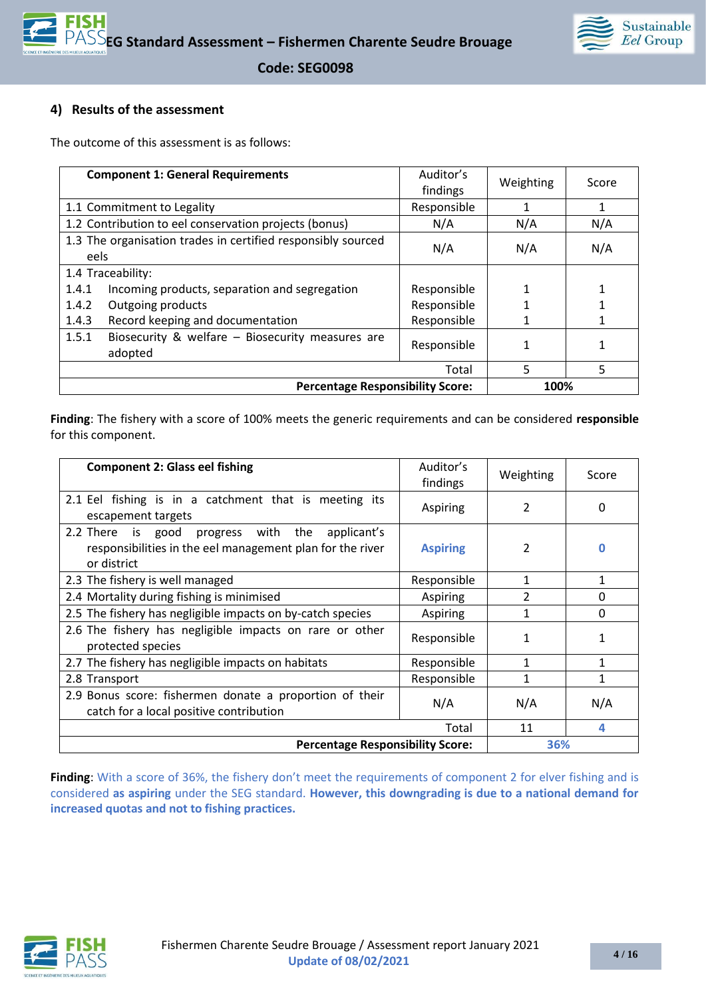

### **4) Results of the assessment**

The outcome of this assessment is as follows:

| <b>Component 1: General Requirements</b>                             | Auditor's<br>findings | Weighting | Score |
|----------------------------------------------------------------------|-----------------------|-----------|-------|
| 1.1 Commitment to Legality                                           | Responsible           |           | 1     |
| 1.2 Contribution to eel conservation projects (bonus)                | N/A                   | N/A       | N/A   |
| 1.3 The organisation trades in certified responsibly sourced<br>eels | N/A                   | N/A       | N/A   |
| 1.4 Traceability:                                                    |                       |           |       |
| Incoming products, separation and segregation<br>1.4.1               | Responsible           |           |       |
| Outgoing products<br>1.4.2                                           | Responsible           |           |       |
| Record keeping and documentation<br>1.4.3                            | Responsible           |           |       |
| Biosecurity & welfare - Biosecurity measures are<br>1.5.1<br>adopted | Responsible           |           |       |
|                                                                      | Total                 | 5         | 5     |
| <b>Percentage Responsibility Score:</b><br>100%                      |                       |           |       |

**Finding**: The fishery with a score of 100% meets the generic requirements and can be considered **responsible** for this component.

| <b>Component 2: Glass eel fishing</b>                                                                                             | Auditor's<br>findings | Weighting      | Score    |
|-----------------------------------------------------------------------------------------------------------------------------------|-----------------------|----------------|----------|
| 2.1 Eel fishing is in a catchment that is meeting its<br>escapement targets                                                       | Aspiring              | 2              | O        |
| 2.2 There<br>is good<br>progress with the applicant's<br>responsibilities in the eel management plan for the river<br>or district | <b>Aspiring</b>       | 2              |          |
| 2.3 The fishery is well managed                                                                                                   | Responsible           | 1              | 1        |
| 2.4 Mortality during fishing is minimised                                                                                         | Aspiring              | $\overline{2}$ | $\Omega$ |
| 2.5 The fishery has negligible impacts on by-catch species                                                                        | Aspiring              | 1              | 0        |
| 2.6 The fishery has negligible impacts on rare or other<br>protected species                                                      | Responsible           | 1              |          |
| 2.7 The fishery has negligible impacts on habitats                                                                                | Responsible           |                |          |
| 2.8 Transport                                                                                                                     | Responsible           |                | 1        |
| 2.9 Bonus score: fishermen donate a proportion of their<br>catch for a local positive contribution                                | N/A                   | N/A            | N/A      |
|                                                                                                                                   | Total                 | 11             | 4        |
| <b>Percentage Responsibility Score:</b>                                                                                           |                       | 36%            |          |

Finding: With a score of 36%, the fishery don't meet the requirements of component 2 for elver fishing and is considered **as aspiring** under the SEG standard. **However, this downgrading is due to a national demand for increased quotas and not to fishing practices.**

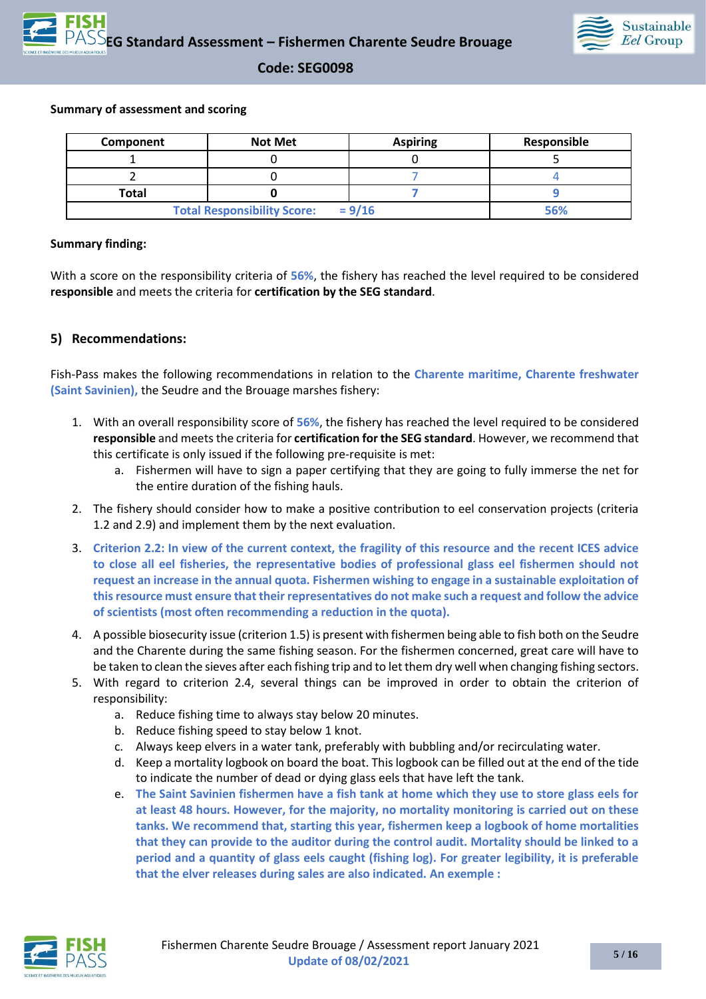

#### **Summary of assessment and scoring**

| Component    | <b>Not Met</b>                     | <b>Aspiring</b> | Responsible |
|--------------|------------------------------------|-----------------|-------------|
|              |                                    |                 |             |
|              |                                    |                 |             |
| <b>Total</b> |                                    |                 |             |
|              | <b>Total Responsibility Score:</b> | $= 9/16$        | 56%         |

#### **Summary finding:**

With a score on the responsibility criteria of **56%**, the fishery has reached the level required to be considered **responsible** and meets the criteria for **certification by the SEG standard**.

#### **5) Recommendations:**

Fish-Pass makes the following recommendations in relation to the **Charente maritime, Charente freshwater (Saint Savinien),** the Seudre and the Brouage marshes fishery:

- 1. With an overall responsibility score of **56%**, the fishery has reached the level required to be considered **responsible** and meets the criteria for **certification for the SEG standard**. However, we recommend that this certificate is only issued if the following pre-requisite is met:
	- a. Fishermen will have to sign a paper certifying that they are going to fully immerse the net for the entire duration of the fishing hauls.
- 2. The fishery should consider how to make a positive contribution to eel conservation projects (criteria 1.2 and 2.9) and implement them by the next evaluation.
- 3. **Criterion 2.2: In view of the current context, the fragility of this resource and the recent ICES advice to close all eel fisheries, the representative bodies of professional glass eel fishermen should not request an increase in the annual quota. Fishermen wishing to engage in a sustainable exploitation of this resource must ensure that their representatives do not make such a request and follow the advice of scientists (most often recommending a reduction in the quota).**
- 4. A possible biosecurity issue (criterion 1.5) is present with fishermen being able to fish both on the Seudre and the Charente during the same fishing season. For the fishermen concerned, great care will have to be taken to clean the sieves after each fishing trip and to let them dry well when changing fishing sectors.
- 5. With regard to criterion 2.4, several things can be improved in order to obtain the criterion of responsibility:
	- a. Reduce fishing time to always stay below 20 minutes.
	- b. Reduce fishing speed to stay below 1 knot.
	- c. Always keep elvers in a water tank, preferably with bubbling and/or recirculating water.
	- d. Keep a mortality logbook on board the boat. This logbook can be filled out at the end of the tide to indicate the number of dead or dying glass eels that have left the tank.
	- e. **The Saint Savinien fishermen have a fish tank at home which they use to store glass eels for at least 48 hours. However, for the majority, no mortality monitoring is carried out on these tanks. We recommend that, starting this year, fishermen keep a logbook of home mortalities that they can provide to the auditor during the control audit. Mortality should be linked to a period and a quantity of glass eels caught (fishing log). For greater legibility, it is preferable that the elver releases during sales are also indicated. An exemple :**

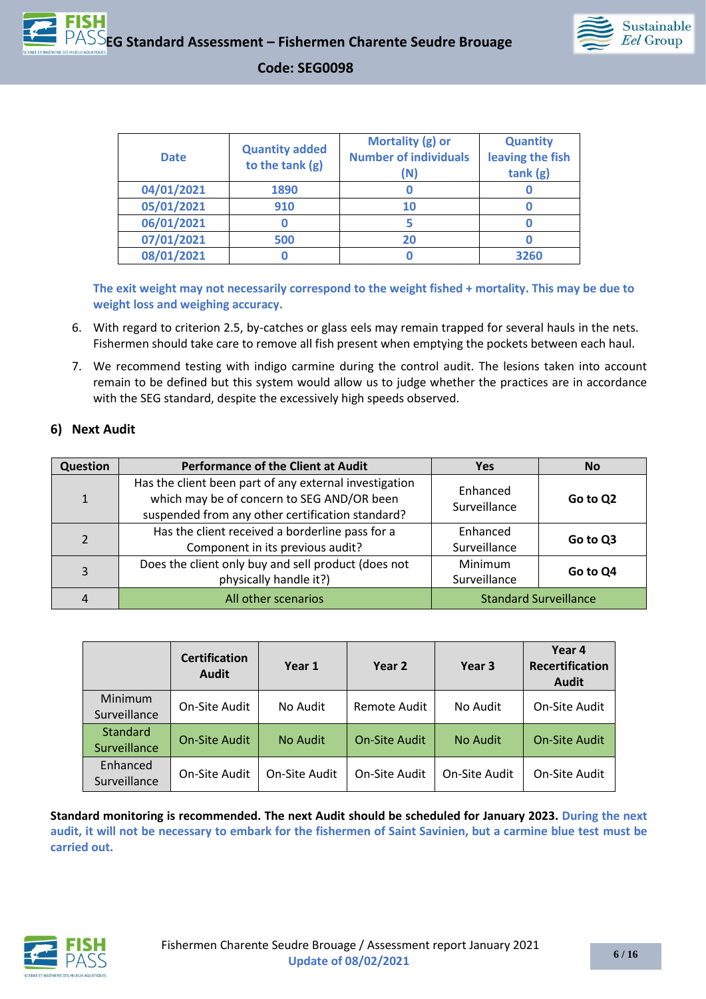



| <b>Date</b> | <b>Quantity added</b><br>to the tank (g) | Mortality (g) or<br><b>Number of individuals</b><br>(N) | <b>Quantity</b><br>leaving the fish<br>tank(g) |
|-------------|------------------------------------------|---------------------------------------------------------|------------------------------------------------|
| 04/01/2021  | 1890                                     |                                                         |                                                |
| 05/01/2021  | 910                                      | 10                                                      |                                                |
| 06/01/2021  |                                          |                                                         |                                                |
| 07/01/2021  | 500                                      | 20                                                      |                                                |
| 08/01/2021  |                                          |                                                         | 3260                                           |

**The exit weight may not necessarily correspond to the weight fished + mortality. This may be due to weight loss and weighing accuracy.**

- 6. With regard to criterion 2.5, by-catches or glass eels may remain trapped for several hauls in the nets. Fishermen should take care to remove all fish present when emptying the pockets between each haul.
- 7. We recommend testing with indigo carmine during the control audit. The lesions taken into account remain to be defined but this system would allow us to judge whether the practices are in accordance with the SEG standard, despite the excessively high speeds observed.

#### **6) Next Audit**

| Question     | <b>Performance of the Client at Audit</b>                                                                                                                | <b>Yes</b>                   | <b>No</b> |
|--------------|----------------------------------------------------------------------------------------------------------------------------------------------------------|------------------------------|-----------|
| $\mathbf{1}$ | Has the client been part of any external investigation<br>which may be of concern to SEG AND/OR been<br>suspended from any other certification standard? | Enhanced<br>Surveillance     | Go to Q2  |
| 2            | Has the client received a borderline pass for a<br>Component in its previous audit?                                                                      | Enhanced<br>Surveillance     | Go to Q3  |
| 3            | Does the client only buy and sell product (does not<br>physically handle it?)                                                                            | Minimum<br>Surveillance      | Go to Q4  |
|              | All other scenarios                                                                                                                                      | <b>Standard Surveillance</b> |           |

|                                 | <b>Certification</b><br><b>Audit</b> | Year 1        | Year 2               | Year 3        | Year 4<br><b>Recertification</b><br>Audit |
|---------------------------------|--------------------------------------|---------------|----------------------|---------------|-------------------------------------------|
| Minimum<br>Surveillance         | On-Site Audit                        | No Audit      | Remote Audit         | No Audit      | On-Site Audit                             |
| <b>Standard</b><br>Surveillance | <b>On-Site Audit</b>                 | No Audit      | <b>On-Site Audit</b> | No Audit      | <b>On-Site Audit</b>                      |
| Enhanced<br>Surveillance        | On-Site Audit                        | On-Site Audit | On-Site Audit        | On-Site Audit | On-Site Audit                             |

**Standard monitoring is recommended. The next Audit should be scheduled for January 2023. During the next audit, it will not be necessary to embark for the fishermen of Saint Savinien, but a carmine blue test must be carried out.**

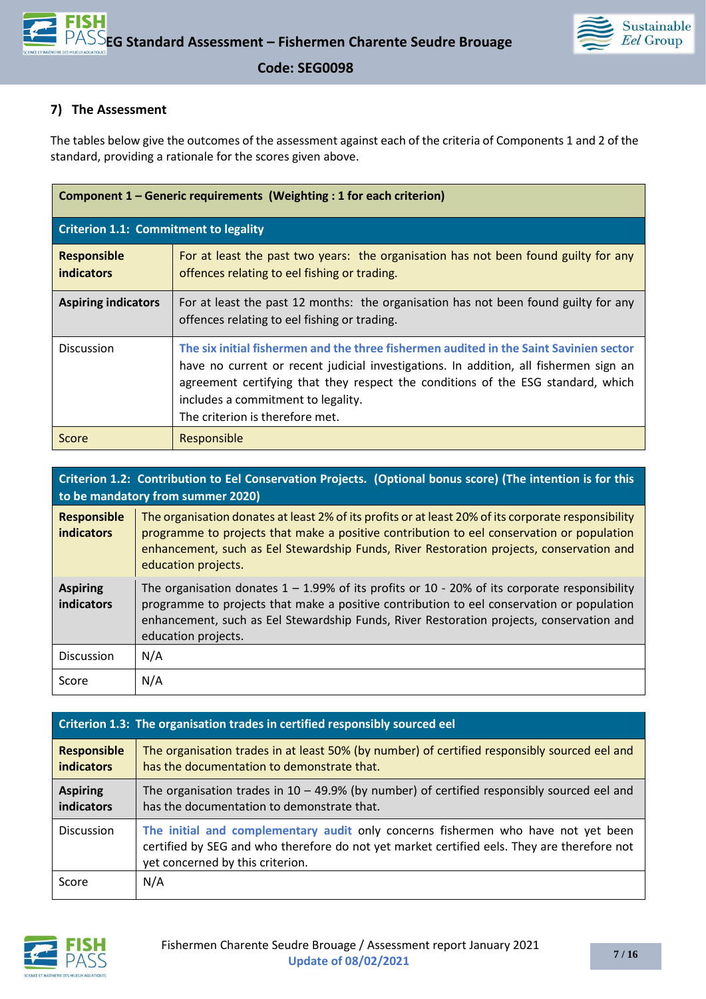

### **7) The Assessment**

The tables below give the outcomes of the assessment against each of the criteria of Components 1 and 2 of the standard, providing a rationale for the scores given above.

| Component 1 – Generic requirements (Weighting : 1 for each criterion) |                                                                                                                                                                                                                                                                                                                                              |  |  |
|-----------------------------------------------------------------------|----------------------------------------------------------------------------------------------------------------------------------------------------------------------------------------------------------------------------------------------------------------------------------------------------------------------------------------------|--|--|
| <b>Criterion 1.1: Commitment to legality</b>                          |                                                                                                                                                                                                                                                                                                                                              |  |  |
| <b>Responsible</b><br>indicators                                      | For at least the past two years: the organisation has not been found guilty for any<br>offences relating to eel fishing or trading.                                                                                                                                                                                                          |  |  |
| <b>Aspiring indicators</b>                                            | For at least the past 12 months: the organisation has not been found guilty for any<br>offences relating to eel fishing or trading.                                                                                                                                                                                                          |  |  |
| <b>Discussion</b>                                                     | The six initial fishermen and the three fishermen audited in the Saint Savinien sector<br>have no current or recent judicial investigations. In addition, all fishermen sign an<br>agreement certifying that they respect the conditions of the ESG standard, which<br>includes a commitment to legality.<br>The criterion is therefore met. |  |  |
| Score                                                                 | Responsible                                                                                                                                                                                                                                                                                                                                  |  |  |

|                                         | Criterion 1.2: Contribution to Eel Conservation Projects. (Optional bonus score) (The intention is for this<br>to be mandatory from summer 2020)                                                                                                                                                                    |  |  |  |  |
|-----------------------------------------|---------------------------------------------------------------------------------------------------------------------------------------------------------------------------------------------------------------------------------------------------------------------------------------------------------------------|--|--|--|--|
| <b>Responsible</b><br><b>indicators</b> | The organisation donates at least 2% of its profits or at least 20% of its corporate responsibility<br>programme to projects that make a positive contribution to eel conservation or population<br>enhancement, such as Eel Stewardship Funds, River Restoration projects, conservation and<br>education projects. |  |  |  |  |
| <b>Aspiring</b><br>indicators           | The organisation donates $1 - 1.99\%$ of its profits or 10 - 20% of its corporate responsibility<br>programme to projects that make a positive contribution to eel conservation or population<br>enhancement, such as Eel Stewardship Funds, River Restoration projects, conservation and<br>education projects.    |  |  |  |  |
| <b>Discussion</b>                       | N/A                                                                                                                                                                                                                                                                                                                 |  |  |  |  |
| Score                                   | N/A                                                                                                                                                                                                                                                                                                                 |  |  |  |  |

|                                         | Criterion 1.3: The organisation trades in certified responsibly sourced eel                                                                                                                                          |  |  |  |  |
|-----------------------------------------|----------------------------------------------------------------------------------------------------------------------------------------------------------------------------------------------------------------------|--|--|--|--|
| <b>Responsible</b><br><b>indicators</b> | The organisation trades in at least 50% (by number) of certified responsibly sourced eel and<br>has the documentation to demonstrate that.                                                                           |  |  |  |  |
| <b>Aspiring</b><br>indicators           | The organisation trades in $10 - 49.9\%$ (by number) of certified responsibly sourced eel and<br>has the documentation to demonstrate that.                                                                          |  |  |  |  |
| <b>Discussion</b>                       | The initial and complementary audit only concerns fishermen who have not yet been<br>certified by SEG and who therefore do not yet market certified eels. They are therefore not<br>yet concerned by this criterion. |  |  |  |  |
| Score                                   | N/A                                                                                                                                                                                                                  |  |  |  |  |

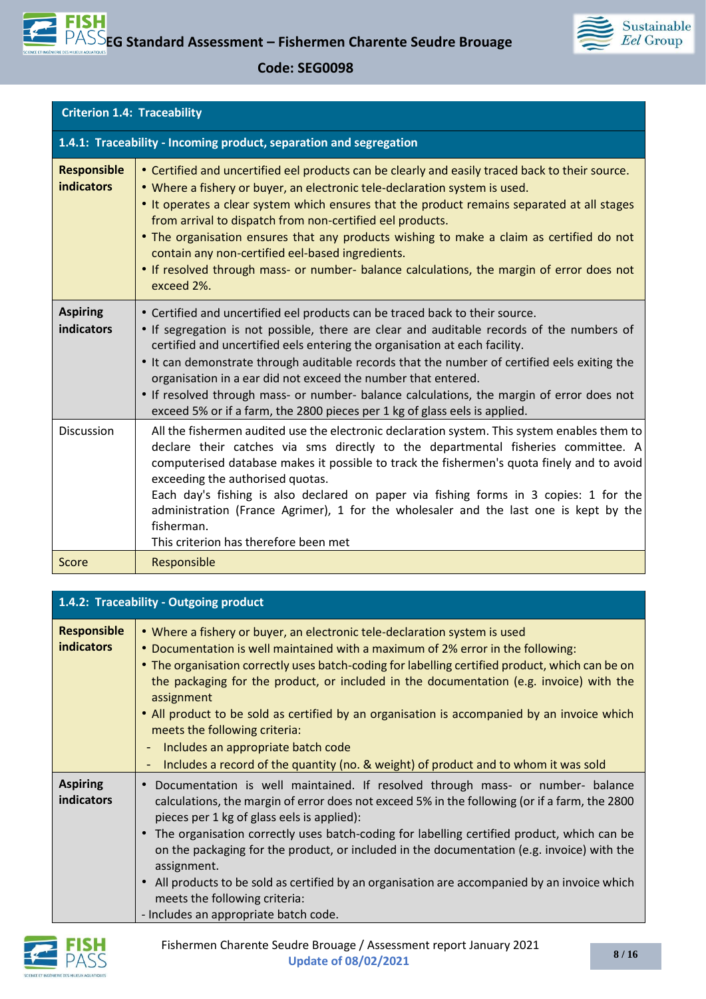

| <b>Criterion 1.4: Traceability</b>      |                                                                                                                                                                                                                                                                                                                                                                                                                                                                                                                                                                                                      |  |
|-----------------------------------------|------------------------------------------------------------------------------------------------------------------------------------------------------------------------------------------------------------------------------------------------------------------------------------------------------------------------------------------------------------------------------------------------------------------------------------------------------------------------------------------------------------------------------------------------------------------------------------------------------|--|
|                                         | 1.4.1: Traceability - Incoming product, separation and segregation                                                                                                                                                                                                                                                                                                                                                                                                                                                                                                                                   |  |
| <b>Responsible</b><br><b>indicators</b> | • Certified and uncertified eel products can be clearly and easily traced back to their source.<br>. Where a fishery or buyer, an electronic tele-declaration system is used.<br>• It operates a clear system which ensures that the product remains separated at all stages<br>from arrival to dispatch from non-certified eel products.<br>• The organisation ensures that any products wishing to make a claim as certified do not<br>contain any non-certified eel-based ingredients.<br>• If resolved through mass- or number- balance calculations, the margin of error does not<br>exceed 2%. |  |
| <b>Aspiring</b><br>indicators           | • Certified and uncertified eel products can be traced back to their source.<br>• If segregation is not possible, there are clear and auditable records of the numbers of<br>certified and uncertified eels entering the organisation at each facility.<br>. It can demonstrate through auditable records that the number of certified eels exiting the<br>organisation in a ear did not exceed the number that entered.<br>• If resolved through mass- or number- balance calculations, the margin of error does not<br>exceed 5% or if a farm, the 2800 pieces per 1 kg of glass eels is applied.  |  |
| <b>Discussion</b>                       | All the fishermen audited use the electronic declaration system. This system enables them to<br>declare their catches via sms directly to the departmental fisheries committee. A<br>computerised database makes it possible to track the fishermen's quota finely and to avoid<br>exceeding the authorised quotas.<br>Each day's fishing is also declared on paper via fishing forms in 3 copies: 1 for the<br>administration (France Agrimer), 1 for the wholesaler and the last one is kept by the<br>fisherman.<br>This criterion has therefore been met                                         |  |
| Score                                   | Responsible                                                                                                                                                                                                                                                                                                                                                                                                                                                                                                                                                                                          |  |

| 1.4.2: Traceability - Outgoing product  |                                                                                                                                                                                                                                                                                                                                                                                                                                                                                                                                                                                                                                                                           |
|-----------------------------------------|---------------------------------------------------------------------------------------------------------------------------------------------------------------------------------------------------------------------------------------------------------------------------------------------------------------------------------------------------------------------------------------------------------------------------------------------------------------------------------------------------------------------------------------------------------------------------------------------------------------------------------------------------------------------------|
| <b>Responsible</b><br><b>indicators</b> | • Where a fishery or buyer, an electronic tele-declaration system is used<br>• Documentation is well maintained with a maximum of 2% error in the following:<br>• The organisation correctly uses batch-coding for labelling certified product, which can be on<br>the packaging for the product, or included in the documentation (e.g. invoice) with the<br>assignment<br>• All product to be sold as certified by an organisation is accompanied by an invoice which<br>meets the following criteria:<br>Includes an appropriate batch code<br>$\blacksquare$<br>Includes a record of the quantity (no. & weight) of product and to whom it was sold<br>$\blacksquare$ |
| <b>Aspiring</b><br>indicators           | Documentation is well maintained. If resolved through mass- or number- balance<br>calculations, the margin of error does not exceed 5% in the following (or if a farm, the 2800<br>pieces per 1 kg of glass eels is applied):<br>The organisation correctly uses batch-coding for labelling certified product, which can be<br>on the packaging for the product, or included in the documentation (e.g. invoice) with the<br>assignment.<br>• All products to be sold as certified by an organisation are accompanied by an invoice which<br>meets the following criteria:<br>- Includes an appropriate batch code.                                                       |

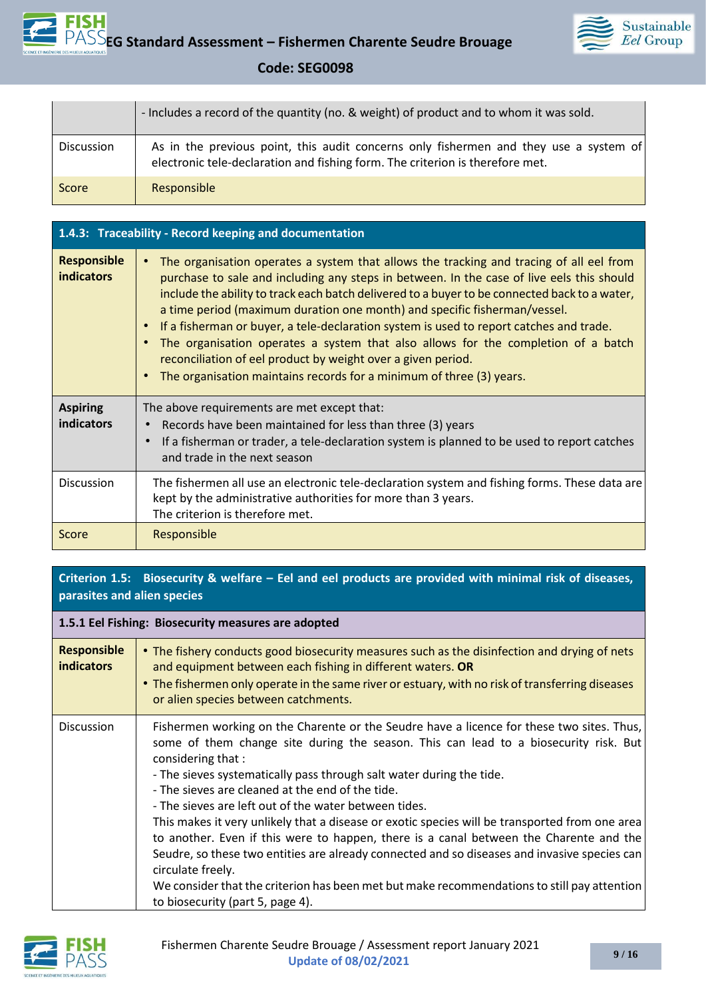

|            | - Includes a record of the quantity (no. & weight) of product and to whom it was sold.                                                                                 |
|------------|------------------------------------------------------------------------------------------------------------------------------------------------------------------------|
| Discussion | As in the previous point, this audit concerns only fishermen and they use a system of<br>electronic tele-declaration and fishing form. The criterion is therefore met. |
| Score      | Responsible                                                                                                                                                            |

| 1.4.3: Traceability - Record keeping and documentation |                                                                                                                                                                                                                                                                                                                                                                                                                                                                                                                                                                                                                                                                                            |  |
|--------------------------------------------------------|--------------------------------------------------------------------------------------------------------------------------------------------------------------------------------------------------------------------------------------------------------------------------------------------------------------------------------------------------------------------------------------------------------------------------------------------------------------------------------------------------------------------------------------------------------------------------------------------------------------------------------------------------------------------------------------------|--|
| <b>Responsible</b><br><b>indicators</b>                | The organisation operates a system that allows the tracking and tracing of all eel from<br>purchase to sale and including any steps in between. In the case of live eels this should<br>include the ability to track each batch delivered to a buyer to be connected back to a water,<br>a time period (maximum duration one month) and specific fisherman/vessel.<br>If a fisherman or buyer, a tele-declaration system is used to report catches and trade.<br>The organisation operates a system that also allows for the completion of a batch<br>reconciliation of eel product by weight over a given period.<br>The organisation maintains records for a minimum of three (3) years. |  |
| <b>Aspiring</b><br>indicators                          | The above requirements are met except that:<br>Records have been maintained for less than three (3) years<br>If a fisherman or trader, a tele-declaration system is planned to be used to report catches<br>and trade in the next season                                                                                                                                                                                                                                                                                                                                                                                                                                                   |  |
| Discussion                                             | The fishermen all use an electronic tele-declaration system and fishing forms. These data are<br>kept by the administrative authorities for more than 3 years.<br>The criterion is therefore met.                                                                                                                                                                                                                                                                                                                                                                                                                                                                                          |  |
| Score                                                  | Responsible                                                                                                                                                                                                                                                                                                                                                                                                                                                                                                                                                                                                                                                                                |  |

## **Criterion 1.5: Biosecurity & welfare – Eel and eel products are provided with minimal risk of diseases, parasites and alien species**

| 1.5.1 Eel Fishing: Biosecurity measures are adopted |                                                                                                                                                                                                                                                                                                                                                                                                                                                                                                                                                                                                                                                                                                                                                                                                                                                  |
|-----------------------------------------------------|--------------------------------------------------------------------------------------------------------------------------------------------------------------------------------------------------------------------------------------------------------------------------------------------------------------------------------------------------------------------------------------------------------------------------------------------------------------------------------------------------------------------------------------------------------------------------------------------------------------------------------------------------------------------------------------------------------------------------------------------------------------------------------------------------------------------------------------------------|
| <b>Responsible</b><br><b>indicators</b>             | • The fishery conducts good biosecurity measures such as the disinfection and drying of nets<br>and equipment between each fishing in different waters. OR<br>• The fishermen only operate in the same river or estuary, with no risk of transferring diseases<br>or alien species between catchments.                                                                                                                                                                                                                                                                                                                                                                                                                                                                                                                                           |
| <b>Discussion</b>                                   | Fishermen working on the Charente or the Seudre have a licence for these two sites. Thus,<br>some of them change site during the season. This can lead to a biosecurity risk. But<br>considering that :<br>- The sieves systematically pass through salt water during the tide.<br>- The sieves are cleaned at the end of the tide.<br>- The sieves are left out of the water between tides.<br>This makes it very unlikely that a disease or exotic species will be transported from one area<br>to another. Even if this were to happen, there is a canal between the Charente and the<br>Seudre, so these two entities are already connected and so diseases and invasive species can<br>circulate freely.<br>We consider that the criterion has been met but make recommendations to still pay attention<br>to biosecurity (part 5, page 4). |

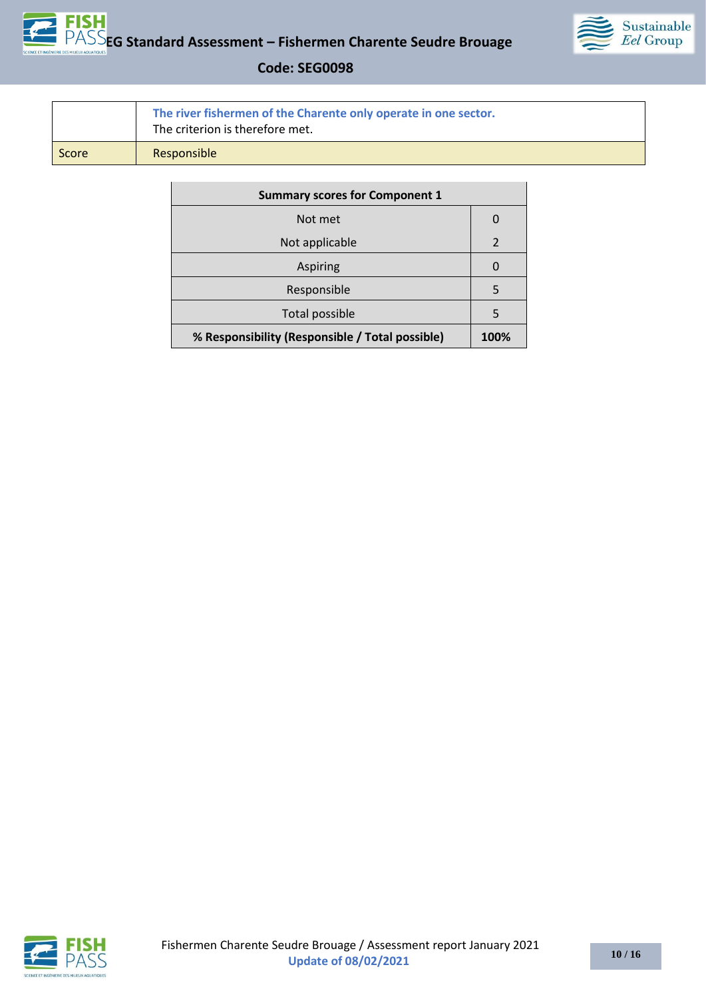



|       | The river fishermen of the Charente only operate in one sector.<br>The criterion is therefore met. |  |
|-------|----------------------------------------------------------------------------------------------------|--|
| Score | Responsible                                                                                        |  |

| <b>Summary scores for Component 1</b>           |               |
|-------------------------------------------------|---------------|
| Not met                                         |               |
| Not applicable                                  | $\mathcal{P}$ |
| Aspiring                                        | U             |
| Responsible                                     | 5             |
| Total possible                                  | 5             |
| % Responsibility (Responsible / Total possible) | 100%          |

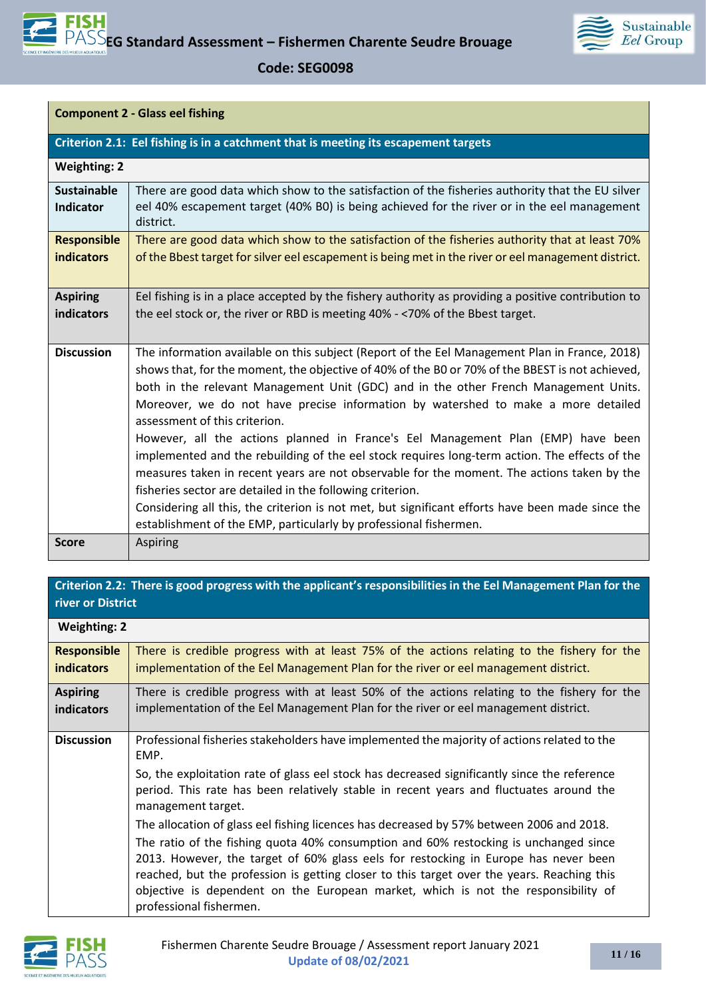

**Component 2 - Glass eel fishing** 

| Criterion 2.1: Eel fishing is in a catchment that is meeting its escapement targets |                                                                                                                                                                                                                                                                                                                                                                                                                                                                                                                                                                                                                                                                                                                                                                                                                                                                                                                                         |  |  |
|-------------------------------------------------------------------------------------|-----------------------------------------------------------------------------------------------------------------------------------------------------------------------------------------------------------------------------------------------------------------------------------------------------------------------------------------------------------------------------------------------------------------------------------------------------------------------------------------------------------------------------------------------------------------------------------------------------------------------------------------------------------------------------------------------------------------------------------------------------------------------------------------------------------------------------------------------------------------------------------------------------------------------------------------|--|--|
| <b>Weighting: 2</b>                                                                 |                                                                                                                                                                                                                                                                                                                                                                                                                                                                                                                                                                                                                                                                                                                                                                                                                                                                                                                                         |  |  |
| <b>Sustainable</b><br><b>Indicator</b>                                              | There are good data which show to the satisfaction of the fisheries authority that the EU silver<br>eel 40% escapement target (40% B0) is being achieved for the river or in the eel management<br>district.                                                                                                                                                                                                                                                                                                                                                                                                                                                                                                                                                                                                                                                                                                                            |  |  |
| <b>Responsible</b><br><b>indicators</b>                                             | There are good data which show to the satisfaction of the fisheries authority that at least 70%<br>of the Bbest target for silver eel escapement is being met in the river or eel management district.                                                                                                                                                                                                                                                                                                                                                                                                                                                                                                                                                                                                                                                                                                                                  |  |  |
| <b>Aspiring</b><br>indicators                                                       | Eel fishing is in a place accepted by the fishery authority as providing a positive contribution to<br>the eel stock or, the river or RBD is meeting 40% - <70% of the Bbest target.                                                                                                                                                                                                                                                                                                                                                                                                                                                                                                                                                                                                                                                                                                                                                    |  |  |
| <b>Discussion</b>                                                                   | The information available on this subject (Report of the Eel Management Plan in France, 2018)<br>shows that, for the moment, the objective of 40% of the B0 or 70% of the BBEST is not achieved,<br>both in the relevant Management Unit (GDC) and in the other French Management Units.<br>Moreover, we do not have precise information by watershed to make a more detailed<br>assessment of this criterion.<br>However, all the actions planned in France's Eel Management Plan (EMP) have been<br>implemented and the rebuilding of the eel stock requires long-term action. The effects of the<br>measures taken in recent years are not observable for the moment. The actions taken by the<br>fisheries sector are detailed in the following criterion.<br>Considering all this, the criterion is not met, but significant efforts have been made since the<br>establishment of the EMP, particularly by professional fishermen. |  |  |
| <b>Score</b>                                                                        | <b>Aspiring</b>                                                                                                                                                                                                                                                                                                                                                                                                                                                                                                                                                                                                                                                                                                                                                                                                                                                                                                                         |  |  |

### **Criterion 2.2: There is good progress with the applicant's responsibilities in the Eel Management Plan for the river or District**

| <b>Weighting: 2</b>                                                                                            |                                                                                                                                                                                                                                                                                                                                                                                           |
|----------------------------------------------------------------------------------------------------------------|-------------------------------------------------------------------------------------------------------------------------------------------------------------------------------------------------------------------------------------------------------------------------------------------------------------------------------------------------------------------------------------------|
| <b>Responsible</b><br><b>indicators</b>                                                                        | There is credible progress with at least 75% of the actions relating to the fishery for the<br>implementation of the Eel Management Plan for the river or eel management district.                                                                                                                                                                                                        |
| There is credible progress with at least 50% of the actions relating to the fishery for the<br><b>Aspiring</b> |                                                                                                                                                                                                                                                                                                                                                                                           |
| indicators                                                                                                     | implementation of the Eel Management Plan for the river or eel management district.                                                                                                                                                                                                                                                                                                       |
| <b>Discussion</b>                                                                                              | Professional fisheries stakeholders have implemented the majority of actions related to the<br>EMP.                                                                                                                                                                                                                                                                                       |
|                                                                                                                | So, the exploitation rate of glass eel stock has decreased significantly since the reference<br>period. This rate has been relatively stable in recent years and fluctuates around the<br>management target.                                                                                                                                                                              |
|                                                                                                                | The allocation of glass eel fishing licences has decreased by 57% between 2006 and 2018.                                                                                                                                                                                                                                                                                                  |
|                                                                                                                | The ratio of the fishing quota 40% consumption and 60% restocking is unchanged since<br>2013. However, the target of 60% glass eels for restocking in Europe has never been<br>reached, but the profession is getting closer to this target over the years. Reaching this<br>objective is dependent on the European market, which is not the responsibility of<br>professional fishermen. |

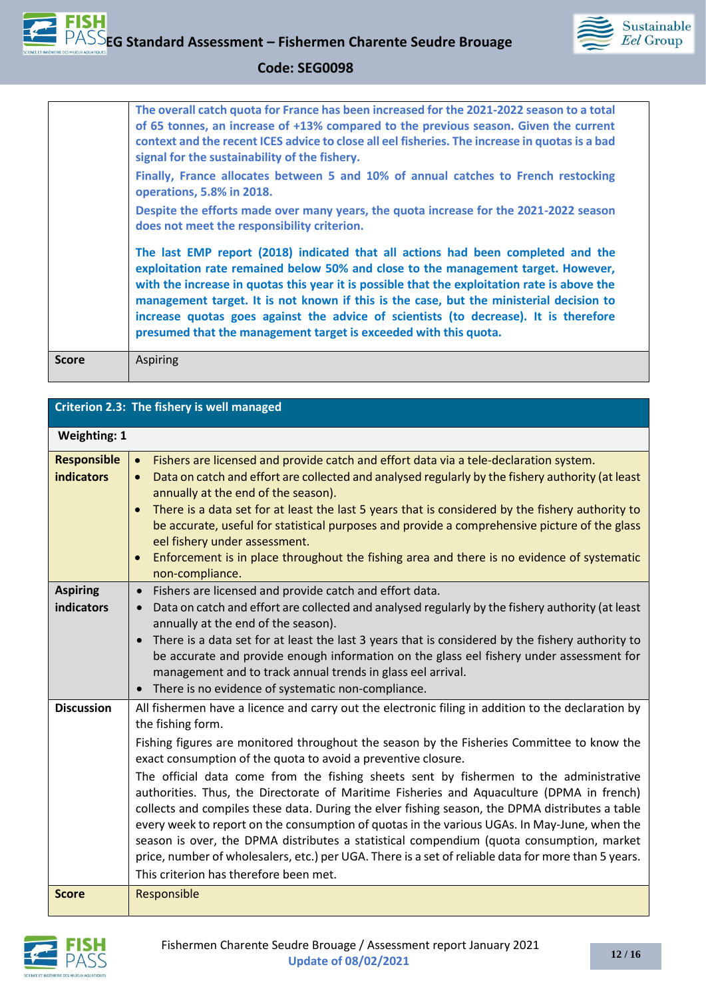

| <b>Score</b> | Aspiring                                                                                                                                                                                                                                                                                                                                                                                                                                                                                                                     |
|--------------|------------------------------------------------------------------------------------------------------------------------------------------------------------------------------------------------------------------------------------------------------------------------------------------------------------------------------------------------------------------------------------------------------------------------------------------------------------------------------------------------------------------------------|
|              | The last EMP report (2018) indicated that all actions had been completed and the<br>exploitation rate remained below 50% and close to the management target. However,<br>with the increase in quotas this year it is possible that the exploitation rate is above the<br>management target. It is not known if this is the case, but the ministerial decision to<br>increase quotas goes against the advice of scientists (to decrease). It is therefore<br>presumed that the management target is exceeded with this quota. |
|              | Despite the efforts made over many years, the quota increase for the 2021-2022 season<br>does not meet the responsibility criterion.                                                                                                                                                                                                                                                                                                                                                                                         |
|              | Finally, France allocates between 5 and 10% of annual catches to French restocking<br>operations, 5.8% in 2018.                                                                                                                                                                                                                                                                                                                                                                                                              |
|              | The overall catch quota for France has been increased for the 2021-2022 season to a total<br>of 65 tonnes, an increase of +13% compared to the previous season. Given the current<br>context and the recent ICES advice to close all eel fisheries. The increase in quotas is a bad<br>signal for the sustainability of the fishery.                                                                                                                                                                                         |
|              |                                                                                                                                                                                                                                                                                                                                                                                                                                                                                                                              |

| Criterion 2.3: The fishery is well managed |                                                                                                                                                                                                                                                                                                                                                                                                                                                                                                                                                                                                                                                                                                                                                                                                                                                                                                                               |
|--------------------------------------------|-------------------------------------------------------------------------------------------------------------------------------------------------------------------------------------------------------------------------------------------------------------------------------------------------------------------------------------------------------------------------------------------------------------------------------------------------------------------------------------------------------------------------------------------------------------------------------------------------------------------------------------------------------------------------------------------------------------------------------------------------------------------------------------------------------------------------------------------------------------------------------------------------------------------------------|
| <b>Weighting: 1</b>                        |                                                                                                                                                                                                                                                                                                                                                                                                                                                                                                                                                                                                                                                                                                                                                                                                                                                                                                                               |
| <b>Responsible</b><br><b>indicators</b>    | Fishers are licensed and provide catch and effort data via a tele-declaration system.<br>$\bullet$<br>Data on catch and effort are collected and analysed regularly by the fishery authority (at least<br>$\bullet$<br>annually at the end of the season).<br>There is a data set for at least the last 5 years that is considered by the fishery authority to<br>$\bullet$<br>be accurate, useful for statistical purposes and provide a comprehensive picture of the glass<br>eel fishery under assessment.<br>Enforcement is in place throughout the fishing area and there is no evidence of systematic<br>$\bullet$<br>non-compliance.                                                                                                                                                                                                                                                                                   |
| <b>Aspiring</b><br>indicators              | Fishers are licensed and provide catch and effort data.<br>$\bullet$<br>Data on catch and effort are collected and analysed regularly by the fishery authority (at least<br>$\bullet$<br>annually at the end of the season).<br>There is a data set for at least the last 3 years that is considered by the fishery authority to<br>be accurate and provide enough information on the glass eel fishery under assessment for<br>management and to track annual trends in glass eel arrival.<br>There is no evidence of systematic non-compliance.                                                                                                                                                                                                                                                                                                                                                                             |
| <b>Discussion</b>                          | All fishermen have a licence and carry out the electronic filing in addition to the declaration by<br>the fishing form.<br>Fishing figures are monitored throughout the season by the Fisheries Committee to know the<br>exact consumption of the quota to avoid a preventive closure.<br>The official data come from the fishing sheets sent by fishermen to the administrative<br>authorities. Thus, the Directorate of Maritime Fisheries and Aquaculture (DPMA in french)<br>collects and compiles these data. During the elver fishing season, the DPMA distributes a table<br>every week to report on the consumption of quotas in the various UGAs. In May-June, when the<br>season is over, the DPMA distributes a statistical compendium (quota consumption, market<br>price, number of wholesalers, etc.) per UGA. There is a set of reliable data for more than 5 years.<br>This criterion has therefore been met. |
| <b>Score</b>                               | Responsible                                                                                                                                                                                                                                                                                                                                                                                                                                                                                                                                                                                                                                                                                                                                                                                                                                                                                                                   |

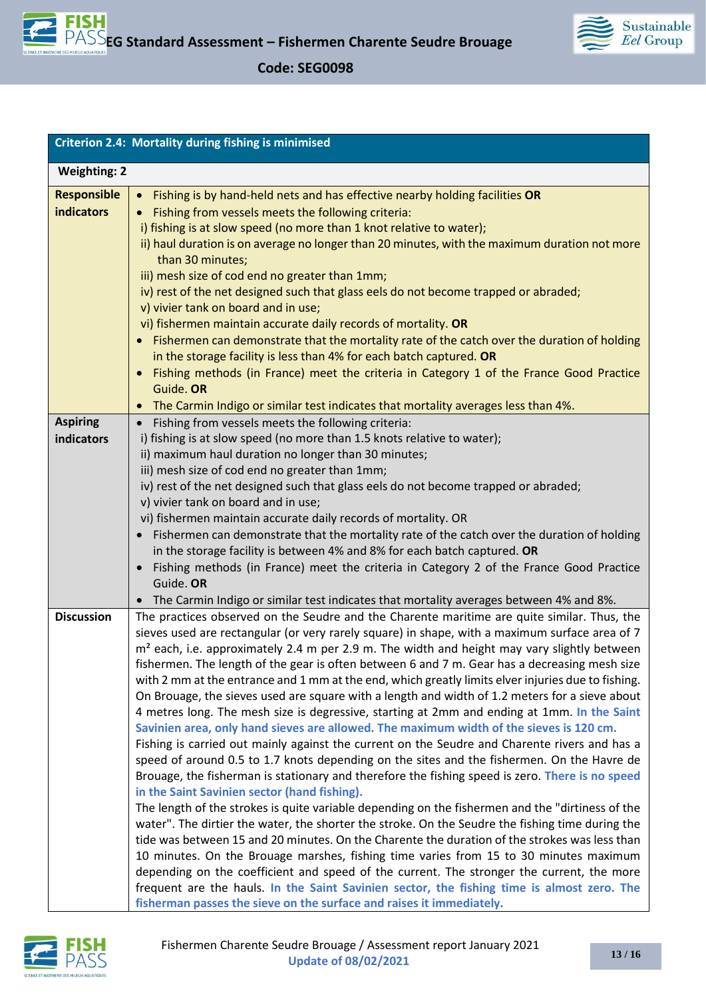

| <b>Criterion 2.4: Mortality during fishing is minimised</b> |  |
|-------------------------------------------------------------|--|
| <b>Weighting: 2</b>                                         |  |
| The contract of the United States                           |  |

| <b>Responsible</b> | • Fishing is by hand-held nets and has effective nearby holding facilities OR                            |
|--------------------|----------------------------------------------------------------------------------------------------------|
| <b>indicators</b>  | Fishing from vessels meets the following criteria:                                                       |
|                    | i) fishing is at slow speed (no more than 1 knot relative to water);                                     |
|                    | ii) haul duration is on average no longer than 20 minutes, with the maximum duration not more            |
|                    | than 30 minutes;                                                                                         |
|                    | iii) mesh size of cod end no greater than 1mm;                                                           |
|                    | iv) rest of the net designed such that glass eels do not become trapped or abraded;                      |
|                    | v) vivier tank on board and in use;                                                                      |
|                    | vi) fishermen maintain accurate daily records of mortality. OR                                           |
|                    | Fishermen can demonstrate that the mortality rate of the catch over the duration of holding<br>$\bullet$ |
|                    | in the storage facility is less than 4% for each batch captured. OR                                      |
|                    | Fishing methods (in France) meet the criteria in Category 1 of the France Good Practice<br>$\bullet$     |
|                    | Guide. OR                                                                                                |
|                    | The Carmin Indigo or similar test indicates that mortality averages less than 4%.<br>$\bullet$           |
| <b>Aspiring</b>    | Fishing from vessels meets the following criteria:<br>$\bullet$                                          |
| indicators         | i) fishing is at slow speed (no more than 1.5 knots relative to water);                                  |
|                    | ii) maximum haul duration no longer than 30 minutes;                                                     |
|                    | iii) mesh size of cod end no greater than 1mm;                                                           |
|                    | iv) rest of the net designed such that glass eels do not become trapped or abraded;                      |
|                    | v) vivier tank on board and in use;                                                                      |
|                    | vi) fishermen maintain accurate daily records of mortality. OR                                           |
|                    | • Fishermen can demonstrate that the mortality rate of the catch over the duration of holding            |
|                    | in the storage facility is between 4% and 8% for each batch captured. OR                                 |
|                    | Fishing methods (in France) meet the criteria in Category 2 of the France Good Practice<br>$\bullet$     |
|                    | Guide. OR                                                                                                |
|                    | The Carmin Indigo or similar test indicates that mortality averages between 4% and 8%.<br>$\bullet$      |
| <b>Discussion</b>  | The practices observed on the Seudre and the Charente maritime are quite similar. Thus, the              |
|                    | sieves used are rectangular (or very rarely square) in shape, with a maximum surface area of 7           |
|                    | m <sup>2</sup> each, i.e. approximately 2.4 m per 2.9 m. The width and height may vary slightly between  |
|                    | fishermen. The length of the gear is often between 6 and 7 m. Gear has a decreasing mesh size            |
|                    | with 2 mm at the entrance and 1 mm at the end, which greatly limits elver injuries due to fishing.       |
|                    | On Brouage, the sieves used are square with a length and width of 1.2 meters for a sieve about           |
|                    | 4 metres long. The mesh size is degressive, starting at 2mm and ending at 1mm. In the Saint              |
|                    | Savinien area, only hand sieves are allowed. The maximum width of the sieves is 120 cm.                  |
|                    | Fishing is carried out mainly against the current on the Seudre and Charente rivers and has a            |
|                    | speed of around 0.5 to 1.7 knots depending on the sites and the fishermen. On the Havre de               |
|                    | Brouage, the fisherman is stationary and therefore the fishing speed is zero. There is no speed          |
|                    | in the Saint Savinien sector (hand fishing).                                                             |
|                    | The length of the strokes is quite variable depending on the fishermen and the "dirtiness of the         |
|                    | water". The dirtier the water, the shorter the stroke. On the Seudre the fishing time during the         |
|                    | tide was between 15 and 20 minutes. On the Charente the duration of the strokes was less than            |
|                    | 10 minutes. On the Brouage marshes, fishing time varies from 15 to 30 minutes maximum                    |
|                    | depending on the coefficient and speed of the current. The stronger the current, the more                |
|                    | frequent are the hauls. In the Saint Savinien sector, the fishing time is almost zero. The               |
|                    | fisherman passes the sieve on the surface and raises it immediately.                                     |

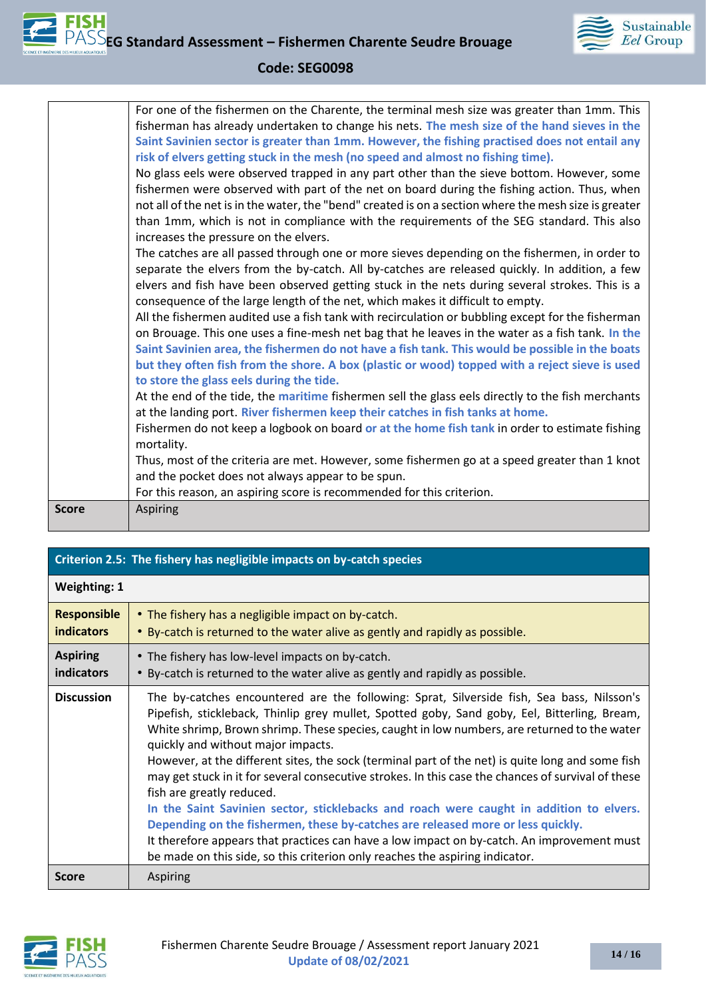

|              | For one of the fishermen on the Charente, the terminal mesh size was greater than 1mm. This           |
|--------------|-------------------------------------------------------------------------------------------------------|
|              | fisherman has already undertaken to change his nets. The mesh size of the hand sieves in the          |
|              | Saint Savinien sector is greater than 1mm. However, the fishing practised does not entail any         |
|              | risk of elvers getting stuck in the mesh (no speed and almost no fishing time).                       |
|              | No glass eels were observed trapped in any part other than the sieve bottom. However, some            |
|              | fishermen were observed with part of the net on board during the fishing action. Thus, when           |
|              | not all of the net is in the water, the "bend" created is on a section where the mesh size is greater |
|              | than 1mm, which is not in compliance with the requirements of the SEG standard. This also             |
|              | increases the pressure on the elvers.                                                                 |
|              | The catches are all passed through one or more sieves depending on the fishermen, in order to         |
|              | separate the elvers from the by-catch. All by-catches are released quickly. In addition, a few        |
|              | elvers and fish have been observed getting stuck in the nets during several strokes. This is a        |
|              | consequence of the large length of the net, which makes it difficult to empty.                        |
|              | All the fishermen audited use a fish tank with recirculation or bubbling except for the fisherman     |
|              | on Brouage. This one uses a fine-mesh net bag that he leaves in the water as a fish tank. In the      |
|              | Saint Savinien area, the fishermen do not have a fish tank. This would be possible in the boats       |
|              | but they often fish from the shore. A box (plastic or wood) topped with a reject sieve is used        |
|              | to store the glass eels during the tide.                                                              |
|              | At the end of the tide, the maritime fishermen sell the glass eels directly to the fish merchants     |
|              | at the landing port. River fishermen keep their catches in fish tanks at home.                        |
|              | Fishermen do not keep a logbook on board or at the home fish tank in order to estimate fishing        |
|              | mortality.                                                                                            |
|              | Thus, most of the criteria are met. However, some fishermen go at a speed greater than 1 knot         |
|              | and the pocket does not always appear to be spun.                                                     |
|              | For this reason, an aspiring score is recommended for this criterion.                                 |
| <b>Score</b> | <b>Aspiring</b>                                                                                       |
|              |                                                                                                       |

| Criterion 2.5: The fishery has negligible impacts on by-catch species |                                                                                                                                                                                                                                                                                                                                                                                                                                                                                                                                                                                                                                                                                                                                                                                                                                                                                                                                   |  |
|-----------------------------------------------------------------------|-----------------------------------------------------------------------------------------------------------------------------------------------------------------------------------------------------------------------------------------------------------------------------------------------------------------------------------------------------------------------------------------------------------------------------------------------------------------------------------------------------------------------------------------------------------------------------------------------------------------------------------------------------------------------------------------------------------------------------------------------------------------------------------------------------------------------------------------------------------------------------------------------------------------------------------|--|
| <b>Weighting: 1</b>                                                   |                                                                                                                                                                                                                                                                                                                                                                                                                                                                                                                                                                                                                                                                                                                                                                                                                                                                                                                                   |  |
| <b>Responsible</b><br><b>indicators</b>                               | • The fishery has a negligible impact on by-catch.<br>. By-catch is returned to the water alive as gently and rapidly as possible.                                                                                                                                                                                                                                                                                                                                                                                                                                                                                                                                                                                                                                                                                                                                                                                                |  |
| <b>Aspiring</b><br>indicators                                         | • The fishery has low-level impacts on by-catch.<br>• By-catch is returned to the water alive as gently and rapidly as possible.                                                                                                                                                                                                                                                                                                                                                                                                                                                                                                                                                                                                                                                                                                                                                                                                  |  |
| <b>Discussion</b>                                                     | The by-catches encountered are the following: Sprat, Silverside fish, Sea bass, Nilsson's<br>Pipefish, stickleback, Thinlip grey mullet, Spotted goby, Sand goby, Eel, Bitterling, Bream,<br>White shrimp, Brown shrimp. These species, caught in low numbers, are returned to the water<br>quickly and without major impacts.<br>However, at the different sites, the sock (terminal part of the net) is quite long and some fish<br>may get stuck in it for several consecutive strokes. In this case the chances of survival of these<br>fish are greatly reduced.<br>In the Saint Savinien sector, sticklebacks and roach were caught in addition to elvers.<br>Depending on the fishermen, these by-catches are released more or less quickly.<br>It therefore appears that practices can have a low impact on by-catch. An improvement must<br>be made on this side, so this criterion only reaches the aspiring indicator. |  |
| <b>Score</b>                                                          | <b>Aspiring</b>                                                                                                                                                                                                                                                                                                                                                                                                                                                                                                                                                                                                                                                                                                                                                                                                                                                                                                                   |  |

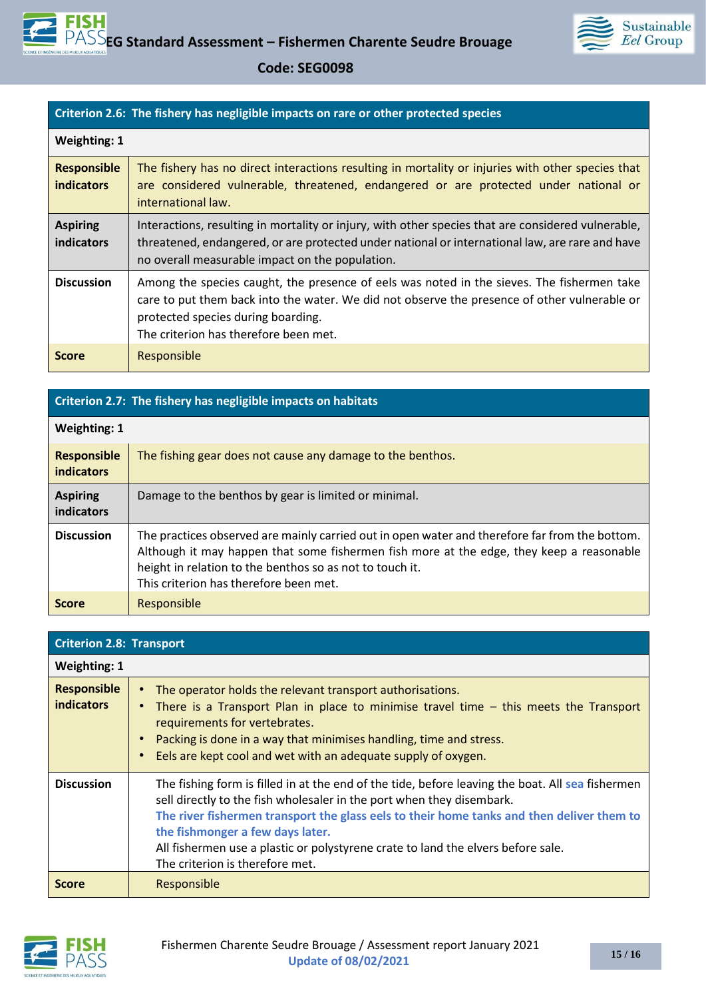

#### **Criterion 2.6: The fishery has negligible impacts on rare or other protected species**

| Weighting: 1                            |                                                                                                                                                                                                                                                                           |
|-----------------------------------------|---------------------------------------------------------------------------------------------------------------------------------------------------------------------------------------------------------------------------------------------------------------------------|
| <b>Responsible</b><br><b>indicators</b> | The fishery has no direct interactions resulting in mortality or injuries with other species that<br>are considered vulnerable, threatened, endangered or are protected under national or<br>international law.                                                           |
| <b>Aspiring</b><br>indicators           | Interactions, resulting in mortality or injury, with other species that are considered vulnerable,<br>threatened, endangered, or are protected under national or international law, are rare and have<br>no overall measurable impact on the population.                  |
| <b>Discussion</b>                       | Among the species caught, the presence of eels was noted in the sieves. The fishermen take<br>care to put them back into the water. We did not observe the presence of other vulnerable or<br>protected species during boarding.<br>The criterion has therefore been met. |
| <b>Score</b>                            | Responsible                                                                                                                                                                                                                                                               |

| Criterion 2.7: The fishery has negligible impacts on habitats |                                                                                                                                                                                                                                                                                                  |  |
|---------------------------------------------------------------|--------------------------------------------------------------------------------------------------------------------------------------------------------------------------------------------------------------------------------------------------------------------------------------------------|--|
| <b>Weighting: 1</b>                                           |                                                                                                                                                                                                                                                                                                  |  |
| <b>Responsible</b><br><b>indicators</b>                       | The fishing gear does not cause any damage to the benthos.                                                                                                                                                                                                                                       |  |
| <b>Aspiring</b><br>indicators                                 | Damage to the benthos by gear is limited or minimal.                                                                                                                                                                                                                                             |  |
| <b>Discussion</b>                                             | The practices observed are mainly carried out in open water and therefore far from the bottom.<br>Although it may happen that some fishermen fish more at the edge, they keep a reasonable<br>height in relation to the benthos so as not to touch it.<br>This criterion has therefore been met. |  |
| <b>Score</b>                                                  | Responsible                                                                                                                                                                                                                                                                                      |  |

| <b>Criterion 2.8: Transport</b>         |                                                                                                                                                                                                                                                                                                                                                                                                                                   |
|-----------------------------------------|-----------------------------------------------------------------------------------------------------------------------------------------------------------------------------------------------------------------------------------------------------------------------------------------------------------------------------------------------------------------------------------------------------------------------------------|
| <b>Weighting: 1</b>                     |                                                                                                                                                                                                                                                                                                                                                                                                                                   |
| <b>Responsible</b><br><b>indicators</b> | The operator holds the relevant transport authorisations.<br>There is a Transport Plan in place to minimise travel time – this meets the Transport<br>requirements for vertebrates.<br>Packing is done in a way that minimises handling, time and stress.<br>$\bullet$<br>Eels are kept cool and wet with an adequate supply of oxygen.<br>$\bullet$                                                                              |
| <b>Discussion</b>                       | The fishing form is filled in at the end of the tide, before leaving the boat. All sea fishermen<br>sell directly to the fish wholesaler in the port when they disembark.<br>The river fishermen transport the glass eels to their home tanks and then deliver them to<br>the fishmonger a few days later.<br>All fishermen use a plastic or polystyrene crate to land the elvers before sale.<br>The criterion is therefore met. |
| <b>Score</b>                            | Responsible                                                                                                                                                                                                                                                                                                                                                                                                                       |